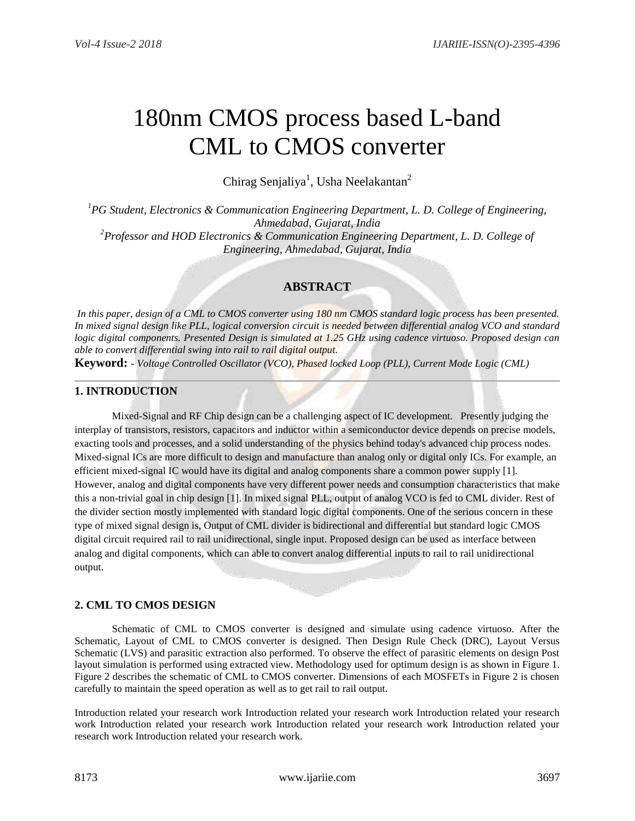# 180nm CMOS process based L-band CML to CMOS converter

Chirag Senjaliya<sup>1</sup>, Usha Neelakantan<sup>2</sup>

*<sup>1</sup>PG Student, Electronics & Communication Engineering Department, L. D. College of Engineering, Ahmedabad, Gujarat, India <sup>2</sup>Professor and HOD Electronics & Communication Engineering Department, L. D. College of Engineering, Ahmedabad, Gujarat, India*

## **ABSTRACT**

*In this paper, design of a CML to CMOS converter using 180 nm CMOS standard logic process has been presented. In mixed signal design like PLL, logical conversion circuit is needed between differential analog VCO and standard logic digital components. Presented Design is simulated at 1.25 GHz using cadence virtuoso. Proposed design can able to convert differential swing into rail to rail digital output.*

**Keyword: -** *Voltage Controlled Oscillator (VCO), Phased locked Loop (PLL), Current Mode Logic (CML)*

### **1. INTRODUCTION**

Mixed-Signal and RF Chip design can be a challenging aspect of IC development. Presently judging the interplay of transistors, resistors, capacitors and inductor within a semiconductor device depends on precise models, exacting tools and processes, and a solid understanding of the physics behind today's advanced chip process nodes. Mixed-signal ICs are more difficult to design and manufacture than analog only or digital only ICs. For example, an efficient mixed-signal IC would have its digital and analog components share a common power supply [1]. However, analog and digital components have very different power needs and consumption characteristics that make this a non-trivial goal in chip design [1]. In mixed signal PLL, output of analog VCO is fed to CML divider. Rest of the divider section mostly implemented with standard logic digital components. One of the serious concern in these type of mixed signal design is, Output of CML divider is bidirectional and differential but standard logic CMOS digital circuit required rail to rail unidirectional, single input. Proposed design can be used as interface between analog and digital components, which can able to convert analog differential inputs to rail to rail unidirectional output.

### **2. CML TO CMOS DESIGN**

Schematic of CML to CMOS converter is designed and simulate using cadence virtuoso. After the Schematic, Layout of CML to CMOS converter is designed. Then Design Rule Check (DRC), Layout Versus Schematic (LVS) and parasitic extraction also performed. To observe the effect of parasitic elements on design Post layout simulation is performed using extracted view. Methodology used for optimum design is as shown in Figure 1. Figure 2 describes the schematic of CML to CMOS converter. Dimensions of each MOSFETs in Figure 2 is chosen carefully to maintain the speed operation as well as to get rail to rail output.

Introduction related your research work Introduction related your research work Introduction related your research work Introduction related your research work Introduction related your research work Introduction related your research work Introduction related your research work.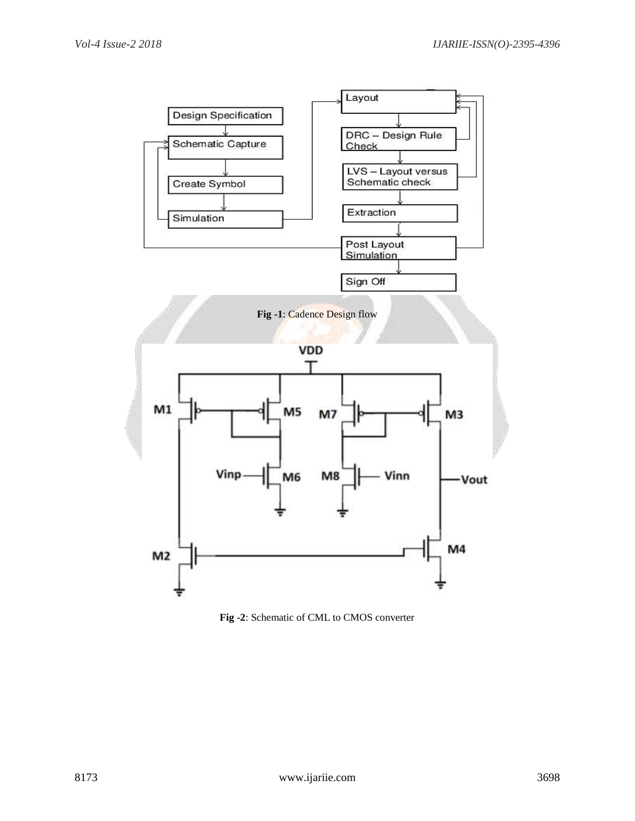

**Fig -2**: Schematic of CML to CMOS converter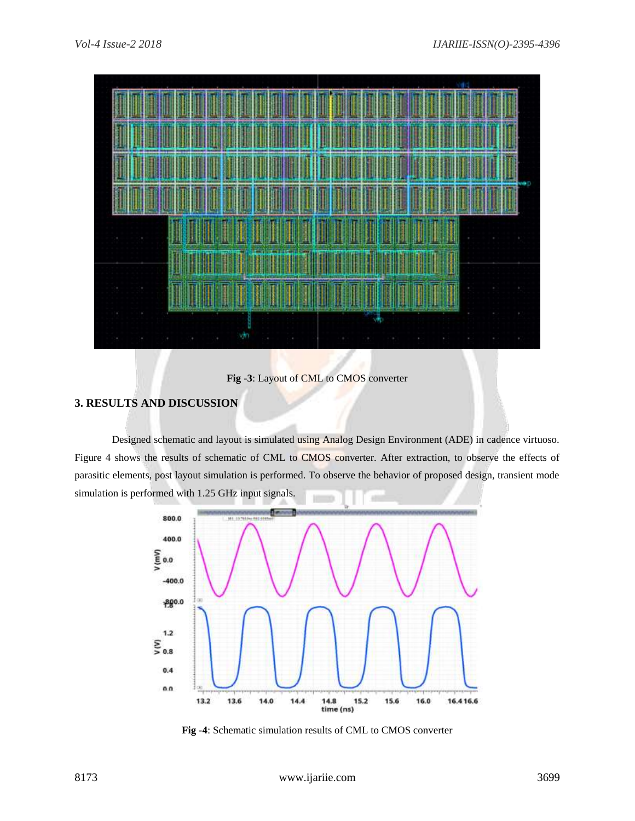

**Fig -3**: Layout of CML to CMOS converter

#### **3. RESULTS AND DISCUSSION**

Designed schematic and layout is simulated using Analog Design Environment (ADE) in cadence virtuoso. Figure 4 shows the results of schematic of CML to CMOS converter. After extraction, to observe the effects of parasitic elements, post layout simulation is performed. To observe the behavior of proposed design, transient mode simulation is performed with 1.25 GHz input signals.



**Fig -4**: Schematic simulation results of CML to CMOS converter